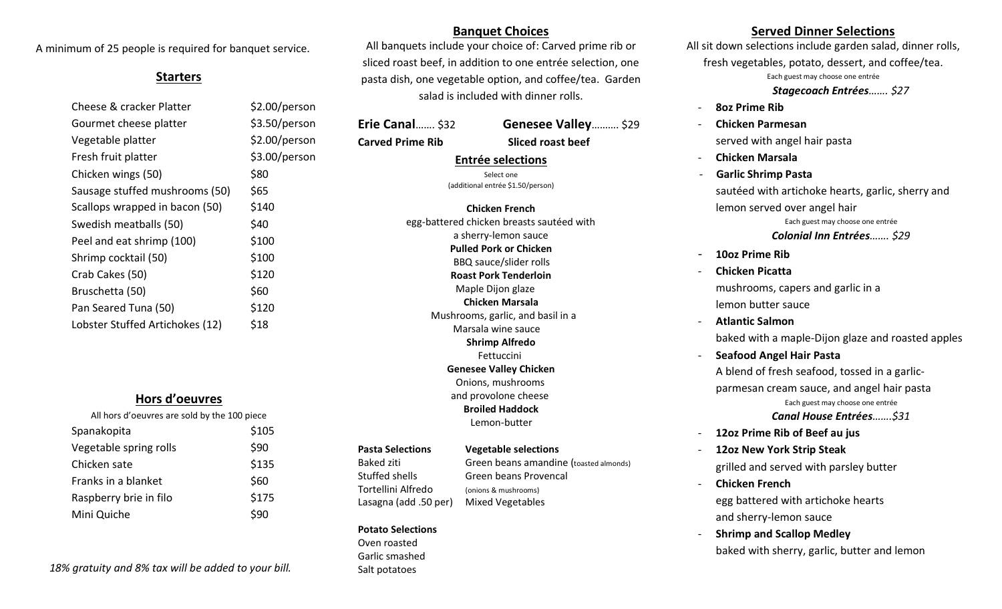A minimum of 25 people is required for banquet service.

# **Starters**

| Cheese & cracker Platter        | \$2.00/person |
|---------------------------------|---------------|
| Gourmet cheese platter          | \$3.50/person |
| Vegetable platter               | \$2.00/person |
| Fresh fruit platter             | \$3.00/person |
| Chicken wings (50)              | \$80          |
| Sausage stuffed mushrooms (50)  | \$65          |
| Scallops wrapped in bacon (50)  | \$140         |
| Swedish meatballs (50)          | \$40          |
| Peel and eat shrimp (100)       | \$100         |
| Shrimp cocktail (50)            | \$100         |
| Crab Cakes (50)                 | \$120         |
| Bruschetta (50)                 | \$60          |
| Pan Seared Tuna (50)            | \$120         |
| Lobster Stuffed Artichokes (12) | \$18          |
|                                 |               |

# **Hors d'oeuvres**

| All hors d'oeuvres are sold by the 100 piece |       |
|----------------------------------------------|-------|
| Spanakopita                                  | \$105 |
| Vegetable spring rolls                       | \$90  |
| Chicken sate                                 | \$135 |
| Franks in a blanket                          | \$60  |
| Raspberry brie in filo                       | \$175 |
| Mini Quiche                                  |       |

 *18% gratuity and 8% tax will be added to your bill.* 

# **Banquet Choices**

All banquets include your choice of: Carved prime rib or sliced roast beef, in addition to one entrée selection, one pasta dish, one vegetable option, and coffee/tea. Garden salad is included with dinner rolls.

**Erie Canal**……. \$32 **Genesee Valley**………. \$29

**Carved Prime Rib Sliced roast beef**

## **Entrée selections**

Select one (additional entrée \$1.50/person)

**Chicken French** egg-battered chicken breasts sautéed with a sherry-lemon sauce **Pulled Pork or Chicken** BBQ sauce/slider rolls **Roast Pork Tenderloin** Maple Dijon glaze **Chicken Marsala** Mushrooms, garlic, and basil in a Marsala wine sauce **Shrimp Alfredo** Fettuccini **Genesee Valley Chicken** Onions, mushrooms and provolone cheese **Broiled Haddock** Lemon-butter

### **Pasta Selections Vegetable selections**

Stuffed shells Green beans Provencal Tortellini Alfredo (onions & mushrooms) Lasagna (add .50 per) Mixed Vegetables

**Potato Selections** 

Oven roasted Garlic smashed Salt potatoes

Baked ziti Green beans amandine (toasted almonds)

# - **12oz New York Strip Steak**

- **Chicken French** egg battered with artichoke hearts and sherry-lemon sauce
- **Shrimp and Scallop Medley** baked with sherry, garlic, butter and lemon

# **Served Dinner Selections**

All sit down selections include garden salad, dinner rolls, fresh vegetables, potato, dessert, and coffee/tea. Each guest may choose one entrée  *Stagecoach Entrées……. \$27*

- **8oz Prime Rib**
- **Chicken Parmesan** served with angel hair pasta
- **Chicken Marsala**
- **Garlic Shrimp Pasta** sautéed with artichoke hearts, garlic, sherry and lemon served over angel hair Each guest may choose one entrée *Colonial Inn Entrées……. \$29*
- **10oz Prime Rib**
- **Chicken Picatta** mushrooms, capers and garlic in a lemon butter sauce
- **Atlantic Salmon** baked with a maple-Dijon glaze and roasted apples
- **Seafood Angel Hair Pasta**

A blend of fresh seafood, tossed in a garlicparmesan cream sauce, and angel hair pasta Each guest may choose one entrée *Canal House Entrées…….\$31*

- **12oz Prime Rib of Beef au jus**
- grilled and served with parsley butter